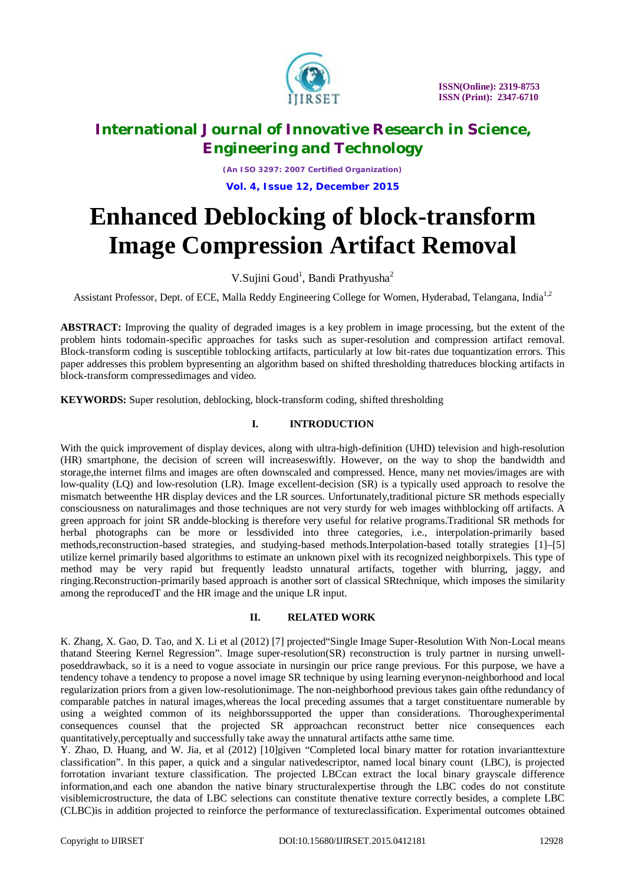

*(An ISO 3297: 2007 Certified Organization)* **Vol. 4, Issue 12, December 2015**

# **Enhanced Deblocking of block-transform Image Compression Artifact Removal**

V.Sujini Goud<sup>1</sup>, Bandi Prathyusha<sup>2</sup>

Assistant Professor, Dept. of ECE, Malla Reddy Engineering College for Women, Hyderabad, Telangana, India<sup>1,2</sup>

**ABSTRACT:** Improving the quality of degraded images is a key problem in image processing, but the extent of the problem hints todomain-specific approaches for tasks such as super-resolution and compression artifact removal. Block-transform coding is susceptible toblocking artifacts, particularly at low bit-rates due toquantization errors. This paper addresses this problem bypresenting an algorithm based on shifted thresholding thatreduces blocking artifacts in block-transform compressedimages and video.

**KEYWORDS:** Super resolution, deblocking, block-transform coding, shifted thresholding

### **I. INTRODUCTION**

With the quick improvement of display devices, along with ultra-high-definition (UHD) television and high-resolution (HR) smartphone, the decision of screen will increaseswiftly. However, on the way to shop the bandwidth and storage,the internet films and images are often downscaled and compressed. Hence, many net movies/images are with low-quality (LQ) and low-resolution (LR). Image excellent-decision (SR) is a typically used approach to resolve the mismatch betweenthe HR display devices and the LR sources. Unfortunately,traditional picture SR methods especially consciousness on naturalimages and those techniques are not very sturdy for web images withblocking off artifacts. A green approach for joint SR andde-blocking is therefore very useful for relative programs.Traditional SR methods for herbal photographs can be more or lessdivided into three categories, i.e., interpolation-primarily based methods,reconstruction-based strategies, and studying-based methods.Interpolation-based totally strategies [1]–[5] utilize kernel primarily based algorithms to estimate an unknown pixel with its recognized neighborpixels. This type of method may be very rapid but frequently leadsto unnatural artifacts, together with blurring, jaggy, and ringing.Reconstruction-primarily based approach is another sort of classical SRtechnique, which imposes the similarity among the reproducedT and the HR image and the unique LR input.

### **II. RELATED WORK**

K. Zhang, X. Gao, D. Tao, and X. Li et al (2012) [7] projected"Single Image Super-Resolution With Non-Local means thatand Steering Kernel Regression". Image super-resolution(SR) reconstruction is truly partner in nursing unwellposeddrawback, so it is a need to vogue associate in nursingin our price range previous. For this purpose, we have a tendency tohave a tendency to propose a novel image SR technique by using learning everynon-neighborhood and local regularization priors from a given low-resolutionimage. The non-neighborhood previous takes gain ofthe redundancy of comparable patches in natural images,whereas the local preceding assumes that a target constituentare numerable by using a weighted common of its neighborssupported the upper than considerations. Thoroughexperimental consequences counsel that the projected SR approachcan reconstruct better nice consequences each quantitatively,perceptually and successfully take away the unnatural artifacts atthe same time.

Y. Zhao, D. Huang, and W. Jia, et al (2012) [10]given "Completed local binary matter for rotation invarianttexture classification". In this paper, a quick and a singular nativedescriptor, named local binary count (LBC), is projected forrotation invariant texture classification. The projected LBCcan extract the local binary grayscale difference information,and each one abandon the native binary structuralexpertise through the LBC codes do not constitute visiblemicrostructure, the data of LBC selections can constitute thenative texture correctly besides, a complete LBC (CLBC)is in addition projected to reinforce the performance of textureclassification. Experimental outcomes obtained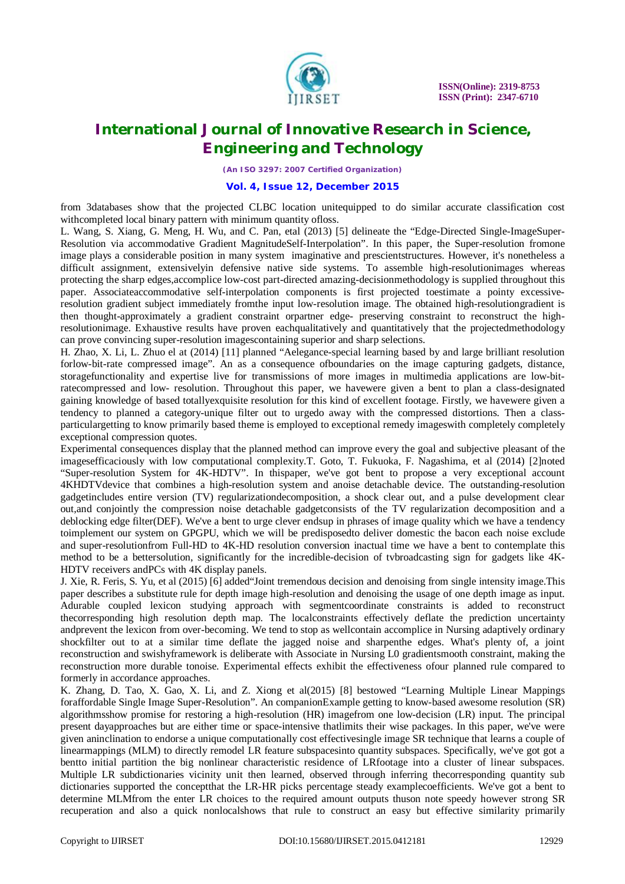

*(An ISO 3297: 2007 Certified Organization)*

#### **Vol. 4, Issue 12, December 2015**

from 3databases show that the projected CLBC location unitequipped to do similar accurate classification cost withcompleted local binary pattern with minimum quantity ofloss.

L. Wang, S. Xiang, G. Meng, H. Wu, and C. Pan, etal (2013) [5] delineate the "Edge-Directed Single-ImageSuper-Resolution via accommodative Gradient MagnitudeSelf-Interpolation". In this paper, the Super-resolution fromone image plays a considerable position in many system imaginative and prescientstructures. However, it's nonetheless a difficult assignment, extensivelyin defensive native side systems. To assemble high-resolutionimages whereas protecting the sharp edges,accomplice low-cost part-directed amazing-decisionmethodology is supplied throughout this paper. Associateaccommodative self-interpolation components is first projected toestimate a pointy excessiveresolution gradient subject immediately fromthe input low-resolution image. The obtained high-resolutiongradient is then thought-approximately a gradient constraint orpartner edge- preserving constraint to reconstruct the highresolutionimage. Exhaustive results have proven eachqualitatively and quantitatively that the projectedmethodology can prove convincing super-resolution imagescontaining superior and sharp selections.

H. Zhao, X. Li, L. Zhuo el at (2014) [11] planned "Aelegance-special learning based by and large brilliant resolution forlow-bit-rate compressed image". An as a consequence ofboundaries on the image capturing gadgets, distance, storagefunctionality and expertise live for transmissions of more images in multimedia applications are low-bitratecompressed and low- resolution. Throughout this paper, we havewere given a bent to plan a class-designated gaining knowledge of based totallyexquisite resolution for this kind of excellent footage. Firstly, we havewere given a tendency to planned a category-unique filter out to urgedo away with the compressed distortions. Then a classparticulargetting to know primarily based theme is employed to exceptional remedy imageswith completely completely exceptional compression quotes.

Experimental consequences display that the planned method can improve every the goal and subjective pleasant of the imagesefficaciously with low computational complexity.T. Goto, T. Fukuoka, F. Nagashima, et al (2014) [2]noted "Super-resolution System for 4K-HDTV". In thispaper, we've got bent to propose a very exceptional account 4KHDTVdevice that combines a high-resolution system and anoise detachable device. The outstanding-resolution gadgetincludes entire version (TV) regularizationdecomposition, a shock clear out, and a pulse development clear out,and conjointly the compression noise detachable gadgetconsists of the TV regularization decomposition and a deblocking edge filter(DEF). We've a bent to urge clever endsup in phrases of image quality which we have a tendency toimplement our system on GPGPU, which we will be predisposedto deliver domestic the bacon each noise exclude and super-resolutionfrom Full-HD to 4K-HD resolution conversion inactual time we have a bent to contemplate this method to be a bettersolution, significantly for the incredible-decision of tvbroadcasting sign for gadgets like 4K-HDTV receivers andPCs with 4K display panels.

J. Xie, R. Feris, S. Yu, et al (2015) [6] added"Joint tremendous decision and denoising from single intensity image.This paper describes a substitute rule for depth image high-resolution and denoising the usage of one depth image as input. Adurable coupled lexicon studying approach with segmentcoordinate constraints is added to reconstruct thecorresponding high resolution depth map. The localconstraints effectively deflate the prediction uncertainty andprevent the lexicon from over-becoming. We tend to stop as wellcontain accomplice in Nursing adaptively ordinary shockfilter out to at a similar time deflate the jagged noise and sharpenthe edges. What's plenty of, a joint reconstruction and swishyframework is deliberate with Associate in Nursing L0 gradientsmooth constraint, making the reconstruction more durable tonoise. Experimental effects exhibit the effectiveness ofour planned rule compared to formerly in accordance approaches.

K. Zhang, D. Tao, X. Gao, X. Li, and Z. Xiong et al(2015) [8] bestowed "Learning Multiple Linear Mappings foraffordable Single Image Super-Resolution". An companionExample getting to know-based awesome resolution (SR) algorithmsshow promise for restoring a high-resolution (HR) imagefrom one low-decision (LR) input. The principal present dayapproaches but are either time or space-intensive thatlimits their wise packages. In this paper, we've were given aninclination to endorse a unique computationally cost effectivesingle image SR technique that learns a couple of linearmappings (MLM) to directly remodel LR feature subspacesinto quantity subspaces. Specifically, we've got got a bentto initial partition the big nonlinear characteristic residence of LRfootage into a cluster of linear subspaces. Multiple LR subdictionaries vicinity unit then learned, observed through inferring thecorresponding quantity sub dictionaries supported the conceptthat the LR-HR picks percentage steady examplecoefficients. We've got a bent to determine MLMfrom the enter LR choices to the required amount outputs thuson note speedy however strong SR recuperation and also a quick nonlocalshows that rule to construct an easy but effective similarity primarily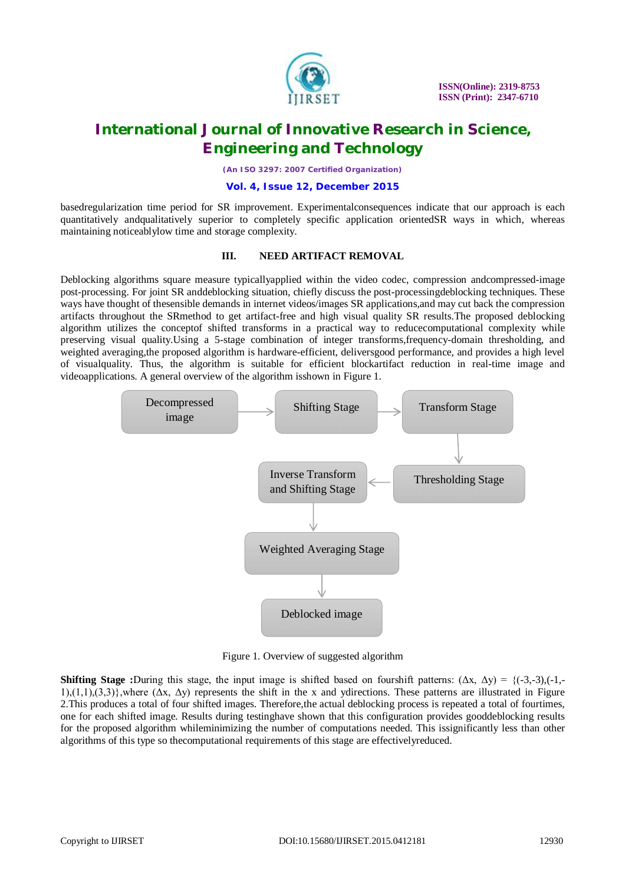

*(An ISO 3297: 2007 Certified Organization)*

#### **Vol. 4, Issue 12, December 2015**

basedregularization time period for SR improvement. Experimentalconsequences indicate that our approach is each quantitatively andqualitatively superior to completely specific application orientedSR ways in which, whereas maintaining noticeablylow time and storage complexity.

#### **III. NEED ARTIFACT REMOVAL**

Deblocking algorithms square measure typicallyapplied within the video codec, compression andcompressed-image post-processing. For joint SR anddeblocking situation, chiefly discuss the post-processingdeblocking techniques. These ways have thought of thesensible demands in internet videos/images SR applications,and may cut back the compression artifacts throughout the SRmethod to get artifact-free and high visual quality SR results.The proposed deblocking algorithm utilizes the conceptof shifted transforms in a practical way to reducecomputational complexity while preserving visual quality.Using a 5-stage combination of integer transforms,frequency-domain thresholding, and weighted averaging,the proposed algorithm is hardware-efficient, deliversgood performance, and provides a high level of visualquality. Thus, the algorithm is suitable for efficient blockartifact reduction in real-time image and videoapplications. A general overview of the algorithm isshown in Figure 1.



Figure 1. Overview of suggested algorithm

**Shifting Stage :**During this stage, the input image is shifted based on fourshift patterns:  $(\Delta x, \Delta y) = {(-3,-3), (-1,-1)}$  $1$ ,(1,1),(3,3)},where ( $\Delta x$ ,  $\Delta y$ ) represents the shift in the x and ydirections. These patterns are illustrated in Figure 2.This produces a total of four shifted images. Therefore,the actual deblocking process is repeated a total of fourtimes, one for each shifted image. Results during testinghave shown that this configuration provides gooddeblocking results for the proposed algorithm whileminimizing the number of computations needed. This issignificantly less than other algorithms of this type so thecomputational requirements of this stage are effectivelyreduced.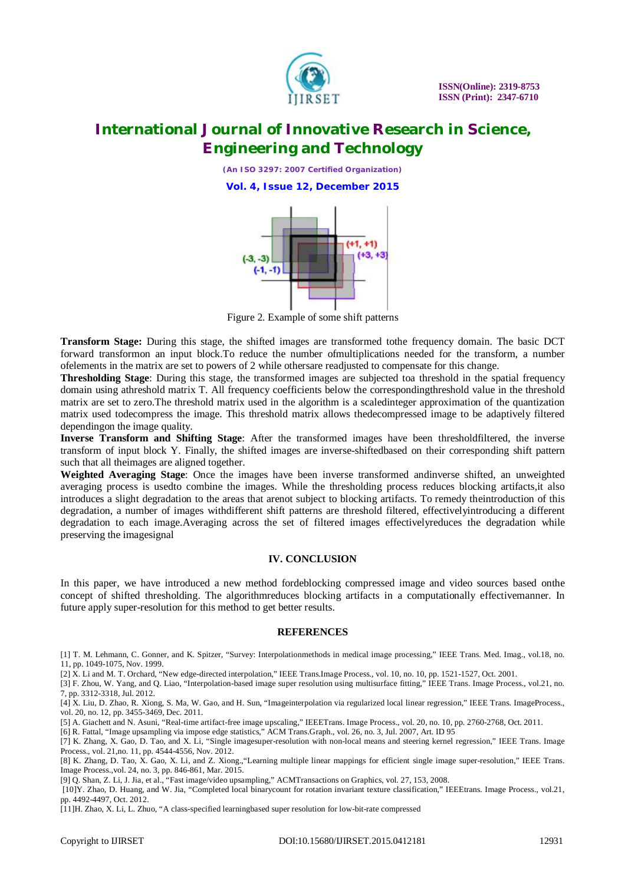

*(An ISO 3297: 2007 Certified Organization)* **Vol. 4, Issue 12, December 2015**



Figure 2. Example of some shift patterns

**Transform Stage:** During this stage, the shifted images are transformed tothe frequency domain. The basic DCT forward transformon an input block.To reduce the number ofmultiplications needed for the transform, a number ofelements in the matrix are set to powers of 2 while othersare readjusted to compensate for this change.

**Thresholding Stage**: During this stage, the transformed images are subjected toa threshold in the spatial frequency domain using athreshold matrix T. All frequency coefficients below the correspondingthreshold value in the threshold matrix are set to zero.The threshold matrix used in the algorithm is a scaledinteger approximation of the quantization matrix used todecompress the image. This threshold matrix allows thedecompressed image to be adaptively filtered dependingon the image quality.

**Inverse Transform and Shifting Stage**: After the transformed images have been thresholdfiltered, the inverse transform of input block Y. Finally, the shifted images are inverse-shiftedbased on their corresponding shift pattern such that all theimages are aligned together.

**Weighted Averaging Stage**: Once the images have been inverse transformed andinverse shifted, an unweighted averaging process is usedto combine the images. While the thresholding process reduces blocking artifacts,it also introduces a slight degradation to the areas that arenot subject to blocking artifacts. To remedy theintroduction of this degradation, a number of images withdifferent shift patterns are threshold filtered, effectivelyintroducing a different degradation to each image.Averaging across the set of filtered images effectivelyreduces the degradation while preserving the imagesignal

#### **IV. CONCLUSION**

In this paper, we have introduced a new method fordeblocking compressed image and video sources based onthe concept of shifted thresholding. The algorithmreduces blocking artifacts in a computationally effectivemanner. In future apply super-resolution for this method to get better results.

#### **REFERENCES**

[1] T. M. Lehmann, C. Gonner, and K. Spitzer, "Survey: Interpolationmethods in medical image processing," IEEE Trans. Med. Imag., vol.18, no. 11, pp. 1049-1075, Nov. 1999.

[2] X. Li and M. T. Orchard, "New edge-directed interpolation," IEEE Trans.Image Process., vol. 10, no. 10, pp. 1521-1527, Oct. 2001.

[3] F. Zhou, W. Yang, and Q. Liao, "Interpolation-based image super resolution using multisurface fitting," IEEE Trans. Image Process., vol.21, no. 7, pp. 3312-3318, Jul. 2012.

[4] X. Liu, D. Zhao, R. Xiong, S. Ma, W. Gao, and H. Sun, "Imageinterpolation via regularized local linear regression," IEEE Trans. ImageProcess., vol. 20, no. 12, pp. 3455-3469, Dec. 2011.

[5] A. Giachett and N. Asuni, "Real-time artifact-free image upscaling," IEEETrans. Image Process., vol. 20, no. 10, pp. 2760-2768, Oct. 2011.

[6] R. Fattal, "Image upsampling via impose edge statistics," ACM Trans.Graph., vol. 26, no. 3, Jul. 2007, Art. ID 95

[7] K. Zhang, X. Gao, D. Tao, and X. Li, "Single imagesuper-resolution with non-local means and steering kernel regression," IEEE Trans. Image Process., vol. 21,no. 11, pp. 4544-4556, Nov. 2012.

[8] K. Zhang, D. Tao, X. Gao, X. Li, and Z. Xiong.,"Learning multiple linear mappings for efficient single image super-resolution," IEEE Trans. Image Process.,vol. 24, no. 3, pp. 846-861, Mar. 2015.

[9] Q. Shan, Z. Li, J. Jia, et al., "Fast image/video upsampling," ACMTransactions on Graphics, vol. 27, 153, 2008.

[10]Y. Zhao, D. Huang, and W. Jia, "Completed local binarycount for rotation invariant texture classification," IEEEtrans. Image Process., vol.21, pp. 4492-4497, Oct. 2012.

[11]H. Zhao, X. Li, L. Zhuo, "A class-specified learningbased super resolution for low-bit-rate compressed